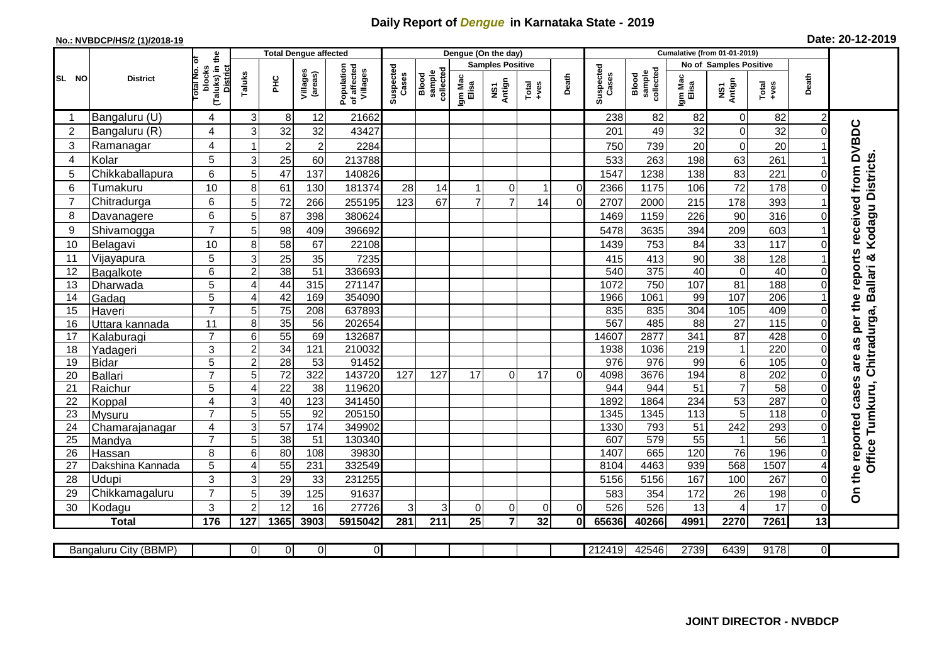## **Daily Report of** *Dengue* **in Karnataka State - 2019**

## **No.: NVBDCP/HS/2 (1)/2018-19 Date: 20-12-2019**

|                |                            |                                          |                |                 | <b>Total Dengue affected</b> |                                       |                    |                              |                  | Dengue (On the day)     |                                                                                                                                                                                                                                                                                                                                                                                                             |                |                    |                              |                        |                                 |                        |                |                                        |
|----------------|----------------------------|------------------------------------------|----------------|-----------------|------------------------------|---------------------------------------|--------------------|------------------------------|------------------|-------------------------|-------------------------------------------------------------------------------------------------------------------------------------------------------------------------------------------------------------------------------------------------------------------------------------------------------------------------------------------------------------------------------------------------------------|----------------|--------------------|------------------------------|------------------------|---------------------------------|------------------------|----------------|----------------------------------------|
|                |                            |                                          |                |                 |                              |                                       |                    |                              |                  | <b>Samples Positive</b> |                                                                                                                                                                                                                                                                                                                                                                                                             |                |                    |                              |                        | No of Samples Positive          |                        |                |                                        |
| SL NO          | <b>District</b>            | (Taluks) in the<br>otal No. ol<br>blocks | Taluks         | ĔБ              | Villages<br>(areas)          | Population<br>of affected<br>Villages | Suspected<br>Cases | sample<br>collected<br>Blood | Igm Mac<br>Elisa | NS1<br>Antign           | $\begin{array}{c}\n\text{Total} \\ \text{1-3} \\ \text{1-4} \\ \text{1-5} \\ \text{1-5} \\ \text{1-6} \\ \text{1-6} \\ \text{1-6} \\ \text{1-6} \\ \text{1-6} \\ \text{1-6} \\ \text{1-6} \\ \text{1-6} \\ \text{1-6} \\ \text{1-6} \\ \text{1-6} \\ \text{1-6} \\ \text{1-6} \\ \text{1-6} \\ \text{1-6} \\ \text{1-6} \\ \text{1-6} \\ \text{1-6} \\ \text{1-6} \\ \text{1-6} \\ \text{1-6} \\ \text{1-6$ | Death          | Suspected<br>Cases | collected<br>sample<br>Blood | Igm Mac<br>Elisa       | NS1<br>Antign                   | Total<br>+ves          | Death          |                                        |
|                | Bangaluru (U)              | 4                                        | 3              | 8               | 12                           | 21662                                 |                    |                              |                  |                         |                                                                                                                                                                                                                                                                                                                                                                                                             |                | 238                | 82                           | 82                     | 0                               | 82                     | $\overline{2}$ |                                        |
| $\overline{2}$ | Bangaluru (R)              | 4                                        | 3              | 32              | 32                           | 43427                                 |                    |                              |                  |                         |                                                                                                                                                                                                                                                                                                                                                                                                             |                | 201                | 49                           | 32                     | $\mathbf 0$                     | 32                     | $\Omega$       |                                        |
| 3              | Ramanagar                  | 4                                        |                | $\overline{2}$  | $\overline{c}$               | 2284                                  |                    |                              |                  |                         |                                                                                                                                                                                                                                                                                                                                                                                                             |                | 750                | 739                          | 20                     | $\boldsymbol{0}$                | 20                     |                | as per the reports received from DVBDC |
| 4              | Kolar                      | 5                                        | 3              | 25              | 60                           | 213788                                |                    |                              |                  |                         |                                                                                                                                                                                                                                                                                                                                                                                                             |                | 533                | 263                          | 198                    | 63                              | 261                    |                |                                        |
| 5              | Chikkaballapura            | 6                                        | 5              | 47              | 137                          | 140826                                |                    |                              |                  |                         |                                                                                                                                                                                                                                                                                                                                                                                                             |                | 1547               | 1238                         | 138                    | 83                              | 221                    | 0              |                                        |
| 6              | Tumakuru                   | 10                                       | 8              | 61              | 130                          | 181374                                | 28                 | 14                           |                  | $\Omega$                | -1                                                                                                                                                                                                                                                                                                                                                                                                          | $\overline{0}$ | 2366               | 1175                         | 106                    | 72                              | 178                    | 0              |                                        |
| 7              | Chitradurga                | 6                                        | 5              | 72              | 266                          | 255195                                | 123                | 67                           | $\overline{7}$   | $\overline{7}$          | 14                                                                                                                                                                                                                                                                                                                                                                                                          | $\Omega$       | 2707               | 2000                         | 215                    | 178                             | 393                    |                |                                        |
| 8              | Davanagere                 | 6                                        | 5              | 87              | 398                          | 380624                                |                    |                              |                  |                         |                                                                                                                                                                                                                                                                                                                                                                                                             |                | 1469               | 1159                         | 226                    | 90                              | 316                    | 0              |                                        |
| 9              | Shivamogga                 | $\overline{7}$                           | 5              | 98              | 409                          | 396692                                |                    |                              |                  |                         |                                                                                                                                                                                                                                                                                                                                                                                                             |                | 5478               | 3635                         | 394                    | 209                             | 603                    |                | Kodagu Districts                       |
| 10             | Belagavi                   | 10                                       | 8              | 58              | 67                           | 22108                                 |                    |                              |                  |                         |                                                                                                                                                                                                                                                                                                                                                                                                             |                | 1439               | 753                          | 84                     | 33                              | 117                    | $\Omega$       |                                        |
| 11             | Vijayapura                 | 5                                        | 3              | 25              | 35                           | 7235                                  |                    |                              |                  |                         |                                                                                                                                                                                                                                                                                                                                                                                                             |                | 415                | 413                          | 90                     | 38                              | 128                    |                |                                        |
| 12             | Bagalkote                  | 6                                        | $\overline{2}$ | 38              | $\overline{51}$              | 336693                                |                    |                              |                  |                         |                                                                                                                                                                                                                                                                                                                                                                                                             |                | 540                | 375                          | 40                     | $\overline{0}$                  | 40                     |                | Chitradurga, Ballari &                 |
| 13             | Dharwada                   | 5                                        | $\overline{4}$ | 44              | 315                          | 271147                                |                    |                              |                  |                         |                                                                                                                                                                                                                                                                                                                                                                                                             |                | 1072               | 750                          | 107                    | 81                              | 188                    | $\Omega$       |                                        |
| 14             | Gadag                      | 5                                        | $\overline{4}$ | 42              | 169                          | 354090                                |                    |                              |                  |                         |                                                                                                                                                                                                                                                                                                                                                                                                             |                | 1966               | 1061                         | 99                     | 107                             | 206                    |                |                                        |
| 15             | Haveri                     | $\overline{7}$                           | 5              | 75              | 208                          | 637893                                |                    |                              |                  |                         |                                                                                                                                                                                                                                                                                                                                                                                                             |                | 835                | 835                          | 304                    | 105                             | 409                    | 0              |                                        |
| 16             | Uttara kannada             | 11                                       | 8              | 35              | 56                           | 202654                                |                    |                              |                  |                         |                                                                                                                                                                                                                                                                                                                                                                                                             |                | 567                | 485                          | $\overline{88}$        | $\overline{27}$                 | $\frac{115}{115}$      | $\Omega$       |                                        |
| 17             | Kalaburagi                 | $\overline{7}$                           | 6              | 55              | 69                           | 132687                                |                    |                              |                  |                         |                                                                                                                                                                                                                                                                                                                                                                                                             |                | 14607              | 2877                         | 341                    | 87                              | 428                    | $\Omega$       |                                        |
| 18             | Yadageri                   | 3                                        | $\overline{c}$ | 34              | 121                          | 210032                                |                    |                              |                  |                         |                                                                                                                                                                                                                                                                                                                                                                                                             |                | 1938               | 1036                         | 219                    | $\mathbf{1}$                    | 220                    | 0              |                                        |
| 19             | <b>Bidar</b>               | 5                                        | $\overline{2}$ | 28              | $\overline{53}$              | 91452                                 |                    |                              |                  |                         |                                                                                                                                                                                                                                                                                                                                                                                                             |                | 976                | 976                          | 99                     | $\,6$                           | 105                    | 0              | are                                    |
| 20             | <b>Ballari</b>             | $\overline{7}$                           | 5              | $\overline{72}$ | 322                          | 143720                                | 127                | 127                          | 17               | $\Omega$                | 17                                                                                                                                                                                                                                                                                                                                                                                                          | $\Omega$       | 4098               | 3676                         | 194                    | 8                               | 202                    | $\Omega$       |                                        |
| 21             | Raichur                    | 5                                        | 4              | $\overline{22}$ | $\overline{38}$              | 119620                                |                    |                              |                  |                         |                                                                                                                                                                                                                                                                                                                                                                                                             |                | 944                | 944                          | $\overline{51}$        | $\overline{7}$                  | 58                     | $\Omega$       |                                        |
| 22             | Koppal                     | 4                                        | 3              | 40              | 123                          | 341450                                |                    |                              |                  |                         |                                                                                                                                                                                                                                                                                                                                                                                                             |                | 1892               | 1864                         | 234                    | 53                              | 287                    | $\Omega$       |                                        |
| 23             | Mysuru                     | $\overline{7}$                           | $\overline{5}$ | 55              | 92                           | 205150                                |                    |                              |                  |                         |                                                                                                                                                                                                                                                                                                                                                                                                             |                | 1345               | 1345                         | $\overline{113}$       | $\overline{5}$                  | 118                    | $\Omega$       | Office Tumkuru,                        |
| 24             | Chamarajanagar             | 4<br>$\overline{7}$                      | 3              | $\overline{57}$ | 174                          | 349902                                |                    |                              |                  |                         |                                                                                                                                                                                                                                                                                                                                                                                                             |                | 1330               | 793                          | 51                     | 242                             | 293                    | 0              |                                        |
| 25             | Mandya                     | 8                                        | 5<br>6         | $\overline{38}$ | 51<br>108                    | 130340<br>39830                       |                    |                              |                  |                         |                                                                                                                                                                                                                                                                                                                                                                                                             |                | 607<br>1407        | 579<br>665                   | $\overline{55}$<br>120 | $\mathbf{1}$<br>$\overline{76}$ | $\overline{56}$<br>196 | $\Omega$       |                                        |
| 26<br>27       | Hassan<br>Dakshina Kannada | 5                                        | $\overline{4}$ | 80<br>55        | 231                          | 332549                                |                    |                              |                  |                         |                                                                                                                                                                                                                                                                                                                                                                                                             |                | 8104               | 4463                         | 939                    | 568                             | 1507                   |                |                                        |
| 28             | Udupi                      | 3                                        | 3              | 29              | 33                           | 231255                                |                    |                              |                  |                         |                                                                                                                                                                                                                                                                                                                                                                                                             |                | 5156               | 5156                         | 167                    | 100                             | 267                    |                |                                        |
| 29             | Chikkamagaluru             | $\overline{7}$                           | 5              | 39              | 125                          | 91637                                 |                    |                              |                  |                         |                                                                                                                                                                                                                                                                                                                                                                                                             |                | 583                | 354                          | 172                    | 26                              | 198                    | 0              | On the reported cases                  |
| 30             | Kodagu                     | 3                                        | $\overline{2}$ | 12              | 16                           | 27726                                 | 3                  | 3                            | 0                | $\Omega$                | 0                                                                                                                                                                                                                                                                                                                                                                                                           | ΩI             | 526                | 526                          | 13                     | $\overline{4}$                  | 17                     | $\Omega$       |                                        |
|                | <b>Total</b>               | 176                                      | 127            | 1365            | 3903                         | 5915042                               | 281                | 211                          | $\overline{25}$  | $\overline{7}$          | 32                                                                                                                                                                                                                                                                                                                                                                                                          | 0I             | 65636              | 40266                        | 4991                   | 2270                            | 7261                   | 13             |                                        |
|                |                            |                                          |                |                 |                              |                                       |                    |                              |                  |                         |                                                                                                                                                                                                                                                                                                                                                                                                             |                |                    |                              |                        |                                 |                        |                |                                        |
|                | Bangaluru City (BBMP)      |                                          | $\Omega$       | $\overline{0}$  | $\overline{0}$               | $\overline{0}$                        |                    |                              |                  |                         |                                                                                                                                                                                                                                                                                                                                                                                                             |                | 212419             | 42546                        | 2739                   | 6439                            | 9178                   | οI             |                                        |